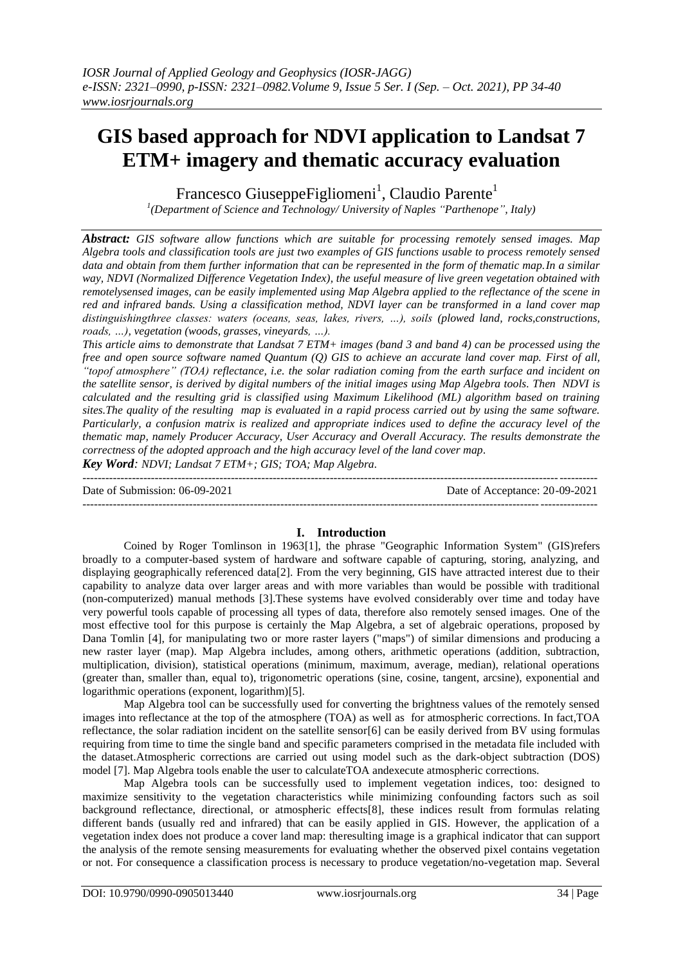# **GIS based approach for NDVI application to Landsat 7 ETM+ imagery and thematic accuracy evaluation**

Francesco GiuseppeFigliomeni<sup>1</sup>, Claudio Parente<sup>1</sup>

*1 (Department of Science and Technology/ University of Naples "Parthenope", Italy)*

*Abstract: GIS software allow functions which are suitable for processing remotely sensed images. Map Algebra tools and classification tools are just two examples of GIS functions usable to process remotely sensed data and obtain from them further information that can be represented in the form of thematic map.In a similar way, NDVI (Normalized Difference Vegetation Index), the useful measure of live green vegetation obtained with remotelysensed images, can be easily implemented using Map Algebra applied to the reflectance of the scene in red and infrared bands. Using a classification method, NDVI layer can be transformed in a land cover map distinguishingthree classes: waters (oceans, seas, lakes, rivers, …), soils (plowed land, rocks,constructions, roads, …), vegetation (woods, grasses, vineyards, …).*

*This article aims to demonstrate that Landsat 7 ETM+ images (band 3 and band 4) can be processed using the free and open source software named Quantum (Q) GIS to achieve an accurate land cover map. First of all, "topof atmosphere" (TOA) reflectance, i.e. the solar radiation coming from the earth surface and incident on the satellite sensor, is derived by digital numbers of the initial images using Map Algebra tools. Then NDVI is calculated and the resulting grid is classified using Maximum Likelihood (ML) algorithm based on training sites.The quality of the resulting map is evaluated in a rapid process carried out by using the same software. Particularly, a confusion matrix is realized and appropriate indices used to define the accuracy level of the thematic map, namely Producer Accuracy, User Accuracy and Overall Accuracy. The results demonstrate the correctness of the adopted approach and the high accuracy level of the land cover map.*

*Key Word: NDVI; Landsat 7 ETM+; GIS; TOA; Map Algebra.*

Date of Submission: 06-09-2021 Date of Acceptance: 20-09-2021

---------------------------------------------------------------------------------------------------------------------------------------

# **I. Introduction**

---------------------------------------------------------------------------------------------------------------------------------------

Coined by Roger Tomlinson in 1963[1], the phrase "Geographic Information System" (GIS)refers broadly to a computer-based system of hardware and software capable of capturing, storing, analyzing, and displaying geographically referenced data[2]. From the very beginning, GIS have attracted interest due to their capability to analyze data over larger areas and with more variables than would be possible with traditional (non-computerized) manual methods [3].These systems have evolved considerably over time and today have very powerful tools capable of processing all types of data, therefore also remotely sensed images. One of the most effective tool for this purpose is certainly the Map Algebra, a set of algebraic operations, proposed by Dana Tomlin [4], for manipulating two or more raster layers ("maps") of similar dimensions and producing a new raster layer (map). Map Algebra includes, among others, arithmetic operations (addition, subtraction, multiplication, division), statistical operations (minimum, maximum, average, median), relational operations (greater than, smaller than, equal to), trigonometric operations (sine, cosine, tangent, arcsine), exponential and logarithmic operations (exponent, logarithm)[5].

Map Algebra tool can be successfully used for converting the brightness values of the remotely sensed images into reflectance at the top of the atmosphere (TOA) as well as for atmospheric corrections. In fact,TOA reflectance, the solar radiation incident on the satellite sensor[6] can be easily derived from BV using formulas requiring from time to time the single band and specific parameters comprised in the metadata file included with the dataset.Atmospheric corrections are carried out using model such as the dark-object subtraction (DOS) model [7]. Map Algebra tools enable the user to calculateTOA andexecute atmospheric corrections.

Map Algebra tools can be successfully used to implement vegetation indices, too: designed to maximize sensitivity to the vegetation characteristics while minimizing confounding factors such as soil background reflectance, directional, or atmospheric effects[8], these indices result from formulas relating different bands (usually red and infrared) that can be easily applied in GIS. However, the application of a vegetation index does not produce a cover land map: theresulting image is a graphical indicator that can support the analysis of the remote sensing measurements for evaluating whether the observed pixel contains vegetation or not. For consequence a classification process is necessary to produce vegetation/no-vegetation map. Several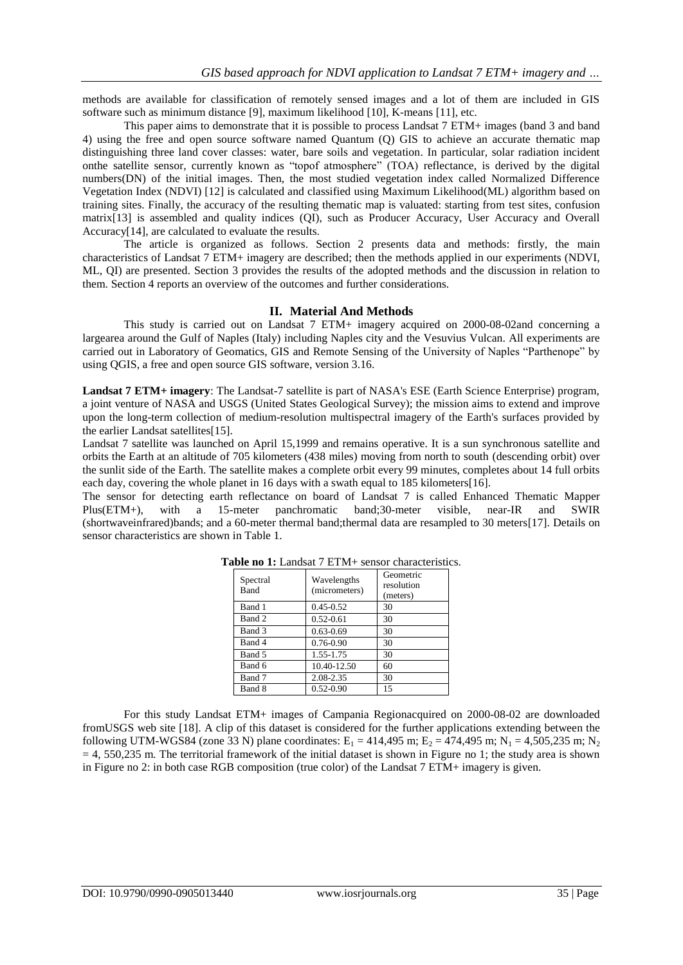methods are available for classification of remotely sensed images and a lot of them are included in GIS software such as minimum distance [9], maximum likelihood [10], K-means [11], etc.

This paper aims to demonstrate that it is possible to process Landsat 7 ETM+ images (band 3 and band 4) using the free and open source software named Quantum (Q) GIS to achieve an accurate thematic map distinguishing three land cover classes: water, bare soils and vegetation. In particular, solar radiation incident onthe satellite sensor, currently known as "topof atmosphere" (TOA) reflectance, is derived by the digital numbers(DN) of the initial images. Then, the most studied vegetation index called Normalized Difference Vegetation Index (NDVI) [12] is calculated and classified using Maximum Likelihood(ML) algorithm based on training sites. Finally, the accuracy of the resulting thematic map is valuated: starting from test sites, confusion matrix[13] is assembled and quality indices (QI), such as Producer Accuracy, User Accuracy and Overall Accuracy[14], are calculated to evaluate the results.

The article is organized as follows. Section 2 presents data and methods: firstly, the main characteristics of Landsat 7 ETM+ imagery are described; then the methods applied in our experiments (NDVI, ML, QI) are presented. Section 3 provides the results of the adopted methods and the discussion in relation to them. Section 4 reports an overview of the outcomes and further considerations.

### **II. Material And Methods**

This study is carried out on Landsat 7 ETM+ imagery acquired on 2000-08-02and concerning a largearea around the Gulf of Naples (Italy) including Naples city and the Vesuvius Vulcan. All experiments are carried out in Laboratory of Geomatics, GIS and Remote Sensing of the University of Naples "Parthenope" by using QGIS, a free and open source GIS software, version 3.16.

**Landsat 7 ETM+ imagery**: The Landsat-7 satellite is part of NASA's ESE (Earth Science Enterprise) program, a joint venture of NASA and USGS (United States Geological Survey); the mission aims to extend and improve upon the long-term collection of medium-resolution multispectral imagery of the Earth's surfaces provided by the earlier Landsat satellites[15].

Landsat 7 satellite was launched on April 15,1999 and remains operative. It is a sun synchronous satellite and orbits the Earth at an altitude of 705 kilometers (438 miles) moving from north to south (descending orbit) over the sunlit side of the Earth. The satellite makes a complete orbit every 99 minutes, completes about 14 full orbits each day, covering the whole planet in 16 days with a swath equal to 185 kilometers[16].

The sensor for detecting earth reflectance on board of Landsat 7 is called Enhanced Thematic Mapper Plus(ETM+), with a 15-meter panchromatic band;30-meter visible, near-IR and SWIR (shortwaveinfrared)bands; and a 60-meter thermal band;thermal data are resampled to 30 meters[17]. Details on sensor characteristics are shown in Table 1.

| Spectral<br>Band | Wavelengths<br>(micrometers) | Geometric<br>resolution<br>(meters) |
|------------------|------------------------------|-------------------------------------|
| Band 1           | $0.45 - 0.52$                | 30                                  |
| Band 2           | $0.52 - 0.61$                | 30                                  |
| Band 3           | $0.63 - 0.69$                | 30                                  |
| Band 4           | $0.76 - 0.90$                | 30                                  |
| Band 5           | 1.55-1.75                    | 30                                  |
| Band 6           | 10.40-12.50                  | 60                                  |
| Band 7           | 2.08-2.35                    | 30                                  |
| Band 8           | $0.52 - 0.90$                | 15                                  |

|  |  |  |  | <b>Table no 1:</b> Landsat 7 ETM+ sensor characteristics. |
|--|--|--|--|-----------------------------------------------------------|
|--|--|--|--|-----------------------------------------------------------|

For this study Landsat ETM+ images of Campania Regionacquired on 2000-08-02 are downloaded fromUSGS web site [18]. A clip of this dataset is considered for the further applications extending between the following UTM-WGS84 (zone 33 N) plane coordinates:  $E_1 = 414,495$  m;  $E_2 = 474,495$  m; N<sub>1</sub> = 4,505,235 m; N<sub>2</sub>  $= 4$ , 550,235 m. The territorial framework of the initial dataset is shown in Figure no 1; the study area is shown in Figure no 2: in both case RGB composition (true color) of the Landsat 7 ETM+ imagery is given.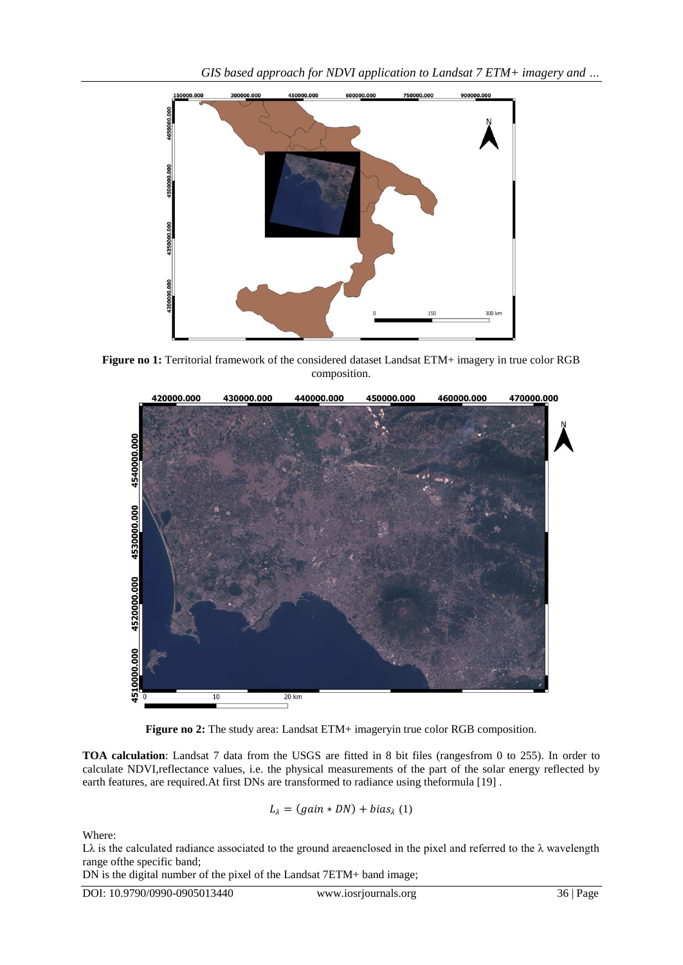

**Figure no 1:** Territorial framework of the considered dataset Landsat ETM+ imagery in true color RGB composition.



**Figure no 2:** The study area: Landsat ETM+ imageryin true color RGB composition.

**TOA calculation**: Landsat 7 data from the USGS are fitted in 8 bit files (rangesfrom 0 to 255). In order to calculate NDVI,reflectance values, i.e. the physical measurements of the part of the solar energy reflected by earth features, are required.At first DNs are transformed to radiance using theformula [19] .

$$
L_{\lambda} = (gain * DN) + bias_{\lambda} (1)
$$

Where:

Lλ is the calculated radiance associated to the ground areaenclosed in the pixel and referred to the  $\lambda$  wavelength range ofthe specific band;

DN is the digital number of the pixel of the Landsat 7ETM+ band image;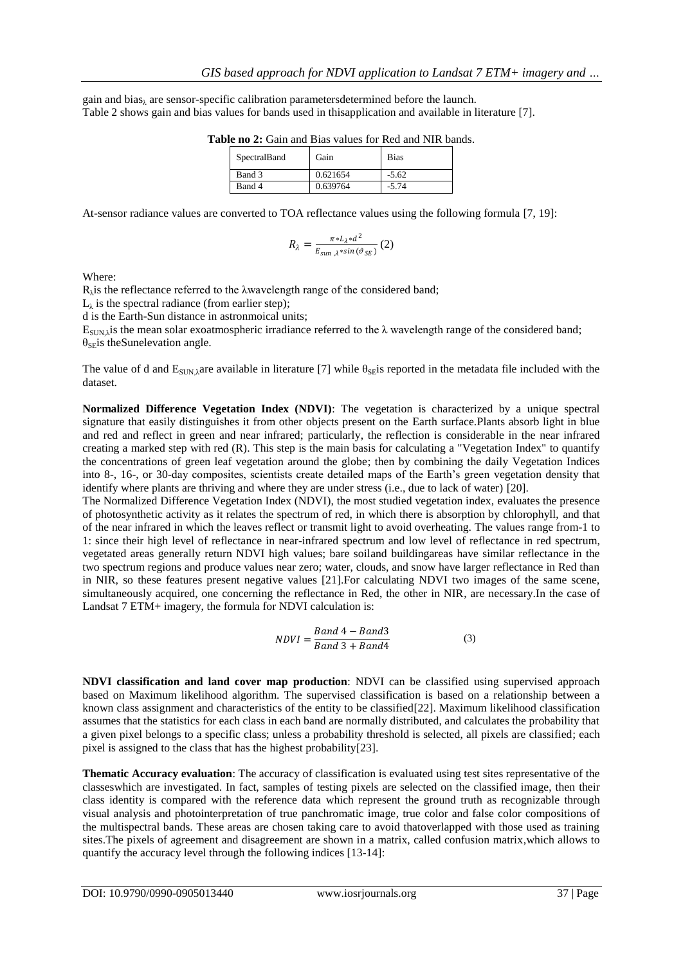gain and bias<sub> $\lambda$ </sub> are sensor-specific calibration parameters determined before the launch. Table 2 shows gain and bias values for bands used in thisapplication and available in literature [7].

| SpectralBand | Gain     | Bias    |
|--------------|----------|---------|
| Band 3       | 0.621654 | $-5.62$ |
| Band 4       | 0.639764 | $-5.74$ |

Table no 2: Gain and Bias values for Red and NIR bands.

At-sensor radiance values are converted to TOA reflectance values using the following formula [7, 19]:

$$
R_{\lambda} = \frac{\pi * L_{\lambda} * d^2}{E_{sun, \lambda} * sin(\vartheta_{SE})}
$$
 (2)

Where:

 $R_{\lambda}$  is the reflectance referred to the  $\lambda$ wavelength range of the considered band;

 $L_{\lambda}$  is the spectral radiance (from earlier step);

d is the Earth-Sun distance in astronmoical units;

 $E_{SIM,\lambda}$  is the mean solar exoatmospheric irradiance referred to the  $\lambda$  wavelength range of the considered band;  $\theta_{\text{SE}}$  is the Sunelevation angle.

The value of d and  $E_{\text{SUN}}$ <sub>λ</sub>are available in literature [7] while  $\theta_{\text{SE}}$  reported in the metadata file included with the dataset.

**Normalized Difference Vegetation Index (NDVI)**: The vegetation is characterized by a unique spectral signature that easily distinguishes it from other objects present on the Earth surface.Plants absorb light in blue and red and reflect in green and near infrared; particularly, the reflection is considerable in the near infrared creating a marked step with red (R). This step is the main basis for calculating a "Vegetation Index" to quantify the concentrations of green leaf vegetation around the globe; then by combining the daily Vegetation Indices into 8-, 16-, or 30-day composites, scientists create detailed maps of the Earth's green vegetation density that identify where plants are thriving and where they are under stress (i.e., due to lack of water) [20].

The Normalized Difference Vegetation Index (NDVI), the most studied vegetation index, evaluates the presence of photosynthetic activity as it relates the spectrum of red, in which there is absorption by chlorophyll, and that of the near infrared in which the leaves reflect or transmit light to avoid overheating. The values range from-1 to 1: since their high level of reflectance in near-infrared spectrum and low level of reflectance in red spectrum, vegetated areas generally return NDVI high values; bare soiland buildingareas have similar reflectance in the two spectrum regions and produce values near zero; water, clouds, and snow have larger reflectance in Red than in NIR, so these features present negative values [21].For calculating NDVI two images of the same scene, simultaneously acquired, one concerning the reflectance in Red, the other in NIR, are necessary.In the case of Landsat 7 ETM+ imagery, the formula for NDVI calculation is:

$$
NDVI = \frac{Band 4 - Band3}{Band 3 + Band4}
$$
 (3)

**NDVI classification and land cover map production**: NDVI can be classified using supervised approach based on Maximum likelihood algorithm. The supervised classification is based on a relationship between a known class assignment and characteristics of the entity to be classified[22]. Maximum likelihood classification assumes that the statistics for each class in each band are normally distributed, and calculates the probability that a given pixel belongs to a specific class; unless a probability threshold is selected, all pixels are classified; each pixel is assigned to the class that has the highest probability[23].

**Thematic Accuracy evaluation**: The accuracy of classification is evaluated using test sites representative of the classeswhich are investigated. In fact, samples of testing pixels are selected on the classified image, then their class identity is compared with the reference data which represent the ground truth as recognizable through visual analysis and photointerpretation of true panchromatic image, true color and false color compositions of the multispectral bands. These areas are chosen taking care to avoid thatoverlapped with those used as training sites.The pixels of agreement and disagreement are shown in a matrix, called confusion matrix,which allows to quantify the accuracy level through the following indices [13-14]: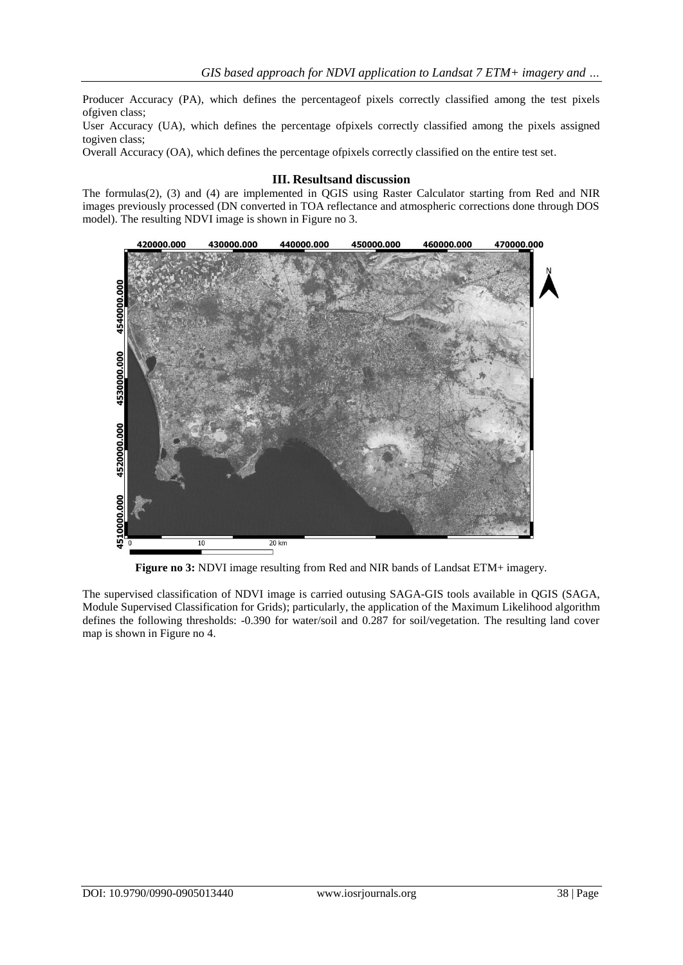Producer Accuracy (PA), which defines the percentageof pixels correctly classified among the test pixels ofgiven class;

User Accuracy (UA), which defines the percentage ofpixels correctly classified among the pixels assigned togiven class;

Overall Accuracy (OA), which defines the percentage ofpixels correctly classified on the entire test set.

### **III. Resultsand discussion**

The formulas(2), (3) and (4) are implemented in QGIS using Raster Calculator starting from Red and NIR images previously processed (DN converted in TOA reflectance and atmospheric corrections done through DOS model). The resulting NDVI image is shown in Figure no 3.



**Figure no 3:** NDVI image resulting from Red and NIR bands of Landsat ETM+ imagery.

The supervised classification of NDVI image is carried outusing SAGA-GIS tools available in QGIS (SAGA, Module Supervised Classification for Grids); particularly, the application of the Maximum Likelihood algorithm defines the following thresholds: -0.390 for water/soil and 0.287 for soil/vegetation. The resulting land cover map is shown in Figure no 4.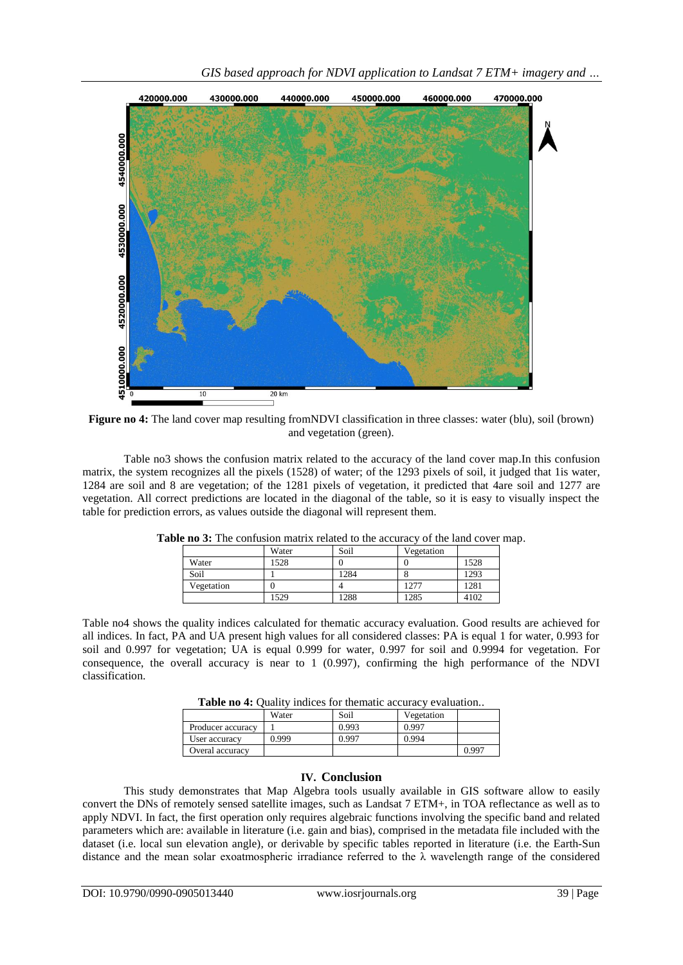

**Figure no 4:** The land cover map resulting fromNDVI classification in three classes: water (blu), soil (brown) and vegetation (green).

Table no3 shows the confusion matrix related to the accuracy of the land cover map.In this confusion matrix, the system recognizes all the pixels (1528) of water; of the 1293 pixels of soil, it judged that 1is water, 1284 are soil and 8 are vegetation; of the 1281 pixels of vegetation, it predicted that 4are soil and 1277 are vegetation. All correct predictions are located in the diagonal of the table, so it is easy to visually inspect the table for prediction errors, as values outside the diagonal will represent them.

|            | Water | Soil | Vegetation |      |
|------------|-------|------|------------|------|
| Water      | 528   |      |            | 1528 |
| Soil       |       | 1284 |            | 1293 |
| Vegetation |       |      | 1277       | 1281 |
|            | 529   | 1288 | 1285       | 4102 |

**Table no 3:** The confusion matrix related to the accuracy of the land cover map.

Table no4 shows the quality indices calculated for thematic accuracy evaluation. Good results are achieved for all indices. In fact, PA and UA present high values for all considered classes: PA is equal 1 for water, 0.993 for soil and 0.997 for vegetation; UA is equal 0.999 for water, 0.997 for soil and 0.9994 for vegetation. For consequence, the overall accuracy is near to 1 (0.997), confirming the high performance of the NDVI classification.

**Table no 4:** Quality indices for thematic accuracy evaluation..

|                   | Water | Soil  | Vegetation |       |
|-------------------|-------|-------|------------|-------|
| Producer accuracy |       | 0.993 | 0.997      |       |
| User accuracy     | 0.999 | 0.997 | 0.994      |       |
| Overal accuracy   |       |       |            | 0.997 |

# **IV. Conclusion**

This study demonstrates that Map Algebra tools usually available in GIS software allow to easily convert the DNs of remotely sensed satellite images, such as Landsat 7 ETM+, in TOA reflectance as well as to apply NDVI. In fact, the first operation only requires algebraic functions involving the specific band and related parameters which are: available in literature (i.e. gain and bias), comprised in the metadata file included with the dataset (i.e. local sun elevation angle), or derivable by specific tables reported in literature (i.e. the Earth-Sun distance and the mean solar exoatmospheric irradiance referred to the λ wavelength range of the considered